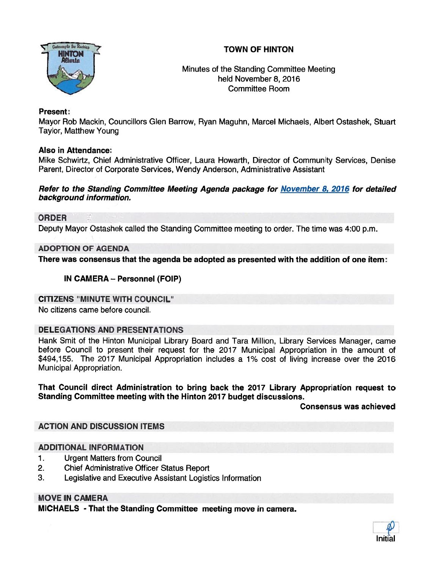# TOWN OF HINTON



Minutes of the Standing Committee Meeting held November 8, 2016 Committee Room

### Present:

Mayor Rob Mackin, Councillors Glen Barrow, Ryan Maguhn, Marcel Michaels, Albert Ostashek, Stuart Taylor, Matthew Young

### Also in Attendance:

Mike Schwirtz, Chief Administrative Officer, Laura Howarth, Director of Community Services, Denise Parent, Director of Corporate Services, Wendy Anderson, Administrative Assistant

#### Refer to the Standing Committee Meeting Agenda package for November 8, 2016 for detailed background information.

# ORDER

Deputy Mayor Ostashek called the Standing Committee meeting to order. The time was 4:00 p.m.

### ADOPTION OF AGENDA

There was consensus that the agenda be adopted as presented with the addition of one item:

# IN CAMERA — Personnel (FOIP)

#### CITIZENS "MINUTE WITH COUNCIL"

No citizens came before council.

## DELEGATIONS AND PRESENTATIONS

Hank Smit of the Hinton Municipal Library Board and Tara Million, Library Services Manager, came before Council to presen<sup>t</sup> their reques<sup>t</sup> for the 2017 Municipal Appropriation in the amount of \$494,155. The 2017 Municipal Appropriation includes <sup>a</sup> 1% cost of living increase over the 2016 Municipal Appropriation.

#### That Council direct Administration to bring back the 2017 Library Appropriation reques<sup>t</sup> to Standing Committee meeting with the Hinton 2017 budget discussions.

#### Consensus was achieved

# ACTION AND DISCUSSION ITEMS

#### ADDITIONAL INFORMATION

- 1. Urgent Matters from Council
- 2. Chief Administrative Officer Status Report
- 3. Legislative and Executive Assistant Logistics Information

## MOVE IN CAMERA

MICHAELS - That the Standing Committee meeting move in camera.